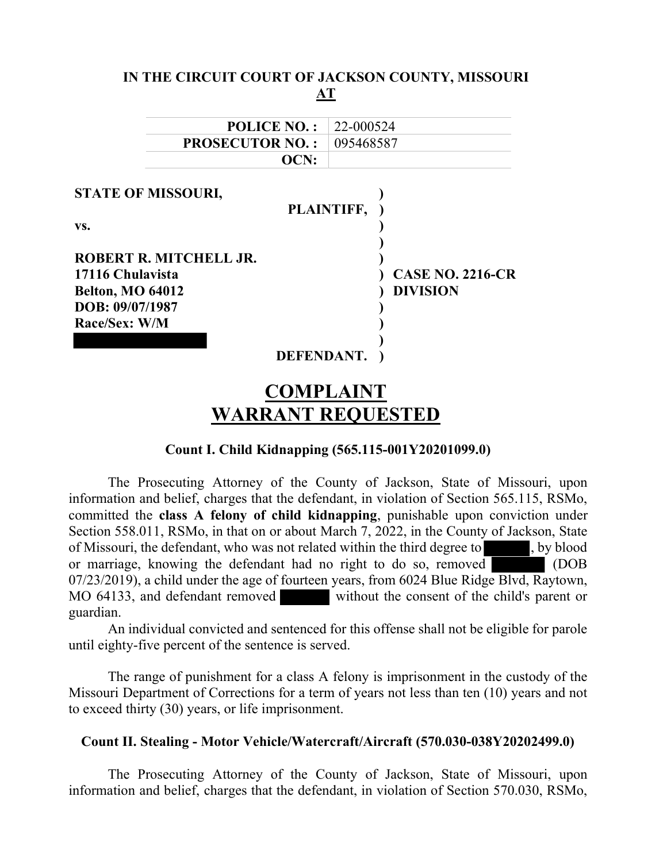|                           |                    |            | IN THE CIRCUIT COURT OF JACKSON COUNTY, MISSOURI |
|---------------------------|--------------------|------------|--------------------------------------------------|
|                           |                    | АT         |                                                  |
|                           | <b>POLICE NO.:</b> | 22-000524  |                                                  |
| <b>PROSECUTOR NO.:</b>    |                    | 095468587  |                                                  |
|                           | OCN:               |            |                                                  |
| <b>STATE OF MISSOURI,</b> |                    |            |                                                  |
|                           |                    | PLAINTIFF, |                                                  |
| VS.                       |                    |            |                                                  |
| ROBERT R. MITCHELL JR.    |                    |            |                                                  |
| 17116 Chulavista          |                    |            | <b>CASE NO. 2216-CR</b>                          |
| <b>Belton, MO 64012</b>   |                    |            | <b>DIVISION</b>                                  |
| DOB: 09/07/1987           |                    |            |                                                  |
| Race/Sex: W/M             |                    |            |                                                  |
|                           |                    |            |                                                  |
|                           | DEFENDANT.         |            |                                                  |
|                           |                    | YAMDI AINT |                                                  |

# COMPLAINT WARRANT REQUESTED

# Count I. Child Kidnapping (565.115-001Y20201099.0)

The Prosecuting Attorney of the County of Jackson, State of Missouri, upon information and belief, charges that the defendant, in violation of Section 565.115, RSMo, committed the class A felony of child kidnapping, punishable upon conviction under Section 558.011, RSMo, in that on or about March 7, 2022, in the County of Jackson, State of Missouri, the defendant, who was not related within the third degree to , by blood or marriage, knowing the defendant had no right to do so, removed (DOB 07/23/2019), a child under the age of fourteen years, from 6024 Blue Ridge Blvd, Raytown, MO 64133, and defendant removed without the consent of the child's parent or guardian.

An individual convicted and sentenced for this offense shall not be eligible for parole until eighty-five percent of the sentence is served.

The range of punishment for a class A felony is imprisonment in the custody of the Missouri Department of Corrections for a term of years not less than ten (10) years and not to exceed thirty (30) years, or life imprisonment.

#### Count II. Stealing - Motor Vehicle/Watercraft/Aircraft (570.030-038Y20202499.0)

The Prosecuting Attorney of the County of Jackson, State of Missouri, upon information and belief, charges that the defendant, in violation of Section 570.030, RSMo,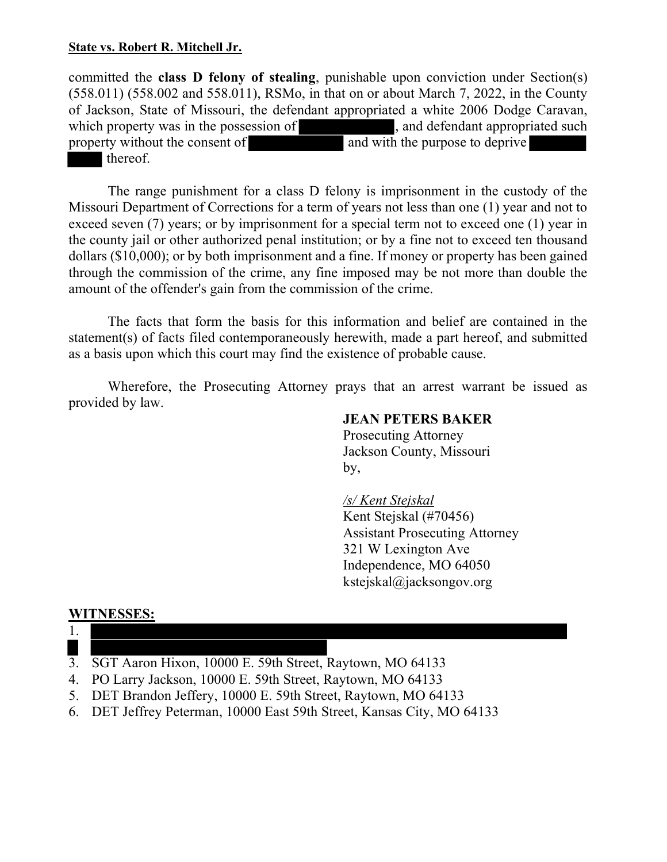## State vs. Robert R. Mitchell Jr.

committed the class D felony of stealing, punishable upon conviction under Section(s) (558.011) (558.002 and 558.011), RSMo, in that on or about March 7, 2022, in the County of Jackson, State of Missouri, the defendant appropriated a white 2006 Dodge Caravan, which property was in the possession of  $\blacksquare$ , and defendant appropriated such property without the consent of and with the purpose to deprive thereof.

The range punishment for a class D felony is imprisonment in the custody of the Missouri Department of Corrections for a term of years not less than one (1) year and not to exceed seven (7) years; or by imprisonment for a special term not to exceed one (1) year in the county jail or other authorized penal institution; or by a fine not to exceed ten thousand dollars (\$10,000); or by both imprisonment and a fine. If money or property has been gained through the commission of the crime, any fine imposed may be not more than double the amount of the offender's gain from the commission of the crime.

The facts that form the basis for this information and belief are contained in the statement(s) of facts filed contemporaneously herewith, made a part hereof, and submitted as a basis upon which this court may find the existence of probable cause.

Wherefore, the Prosecuting Attorney prays that an arrest warrant be issued as provided by law.

### JEAN PETERS BAKER

 Prosecuting Attorney Jackson County, Missouri by,

#### /s/ Kent Stejskal

 Kent Stejskal (#70456) Assistant Prosecuting Attorney 321 W Lexington Ave Independence, MO 64050 kstejskal@jacksongov.org

#### WITNESSES:



- 3. SGT Aaron Hixon, 10000 E. 59th Street, Raytown, MO 64133
- 4. PO Larry Jackson, 10000 E. 59th Street, Raytown, MO 64133
- 5. DET Brandon Jeffery, 10000 E. 59th Street, Raytown, MO 64133
- 6. DET Jeffrey Peterman, 10000 East 59th Street, Kansas City, MO 64133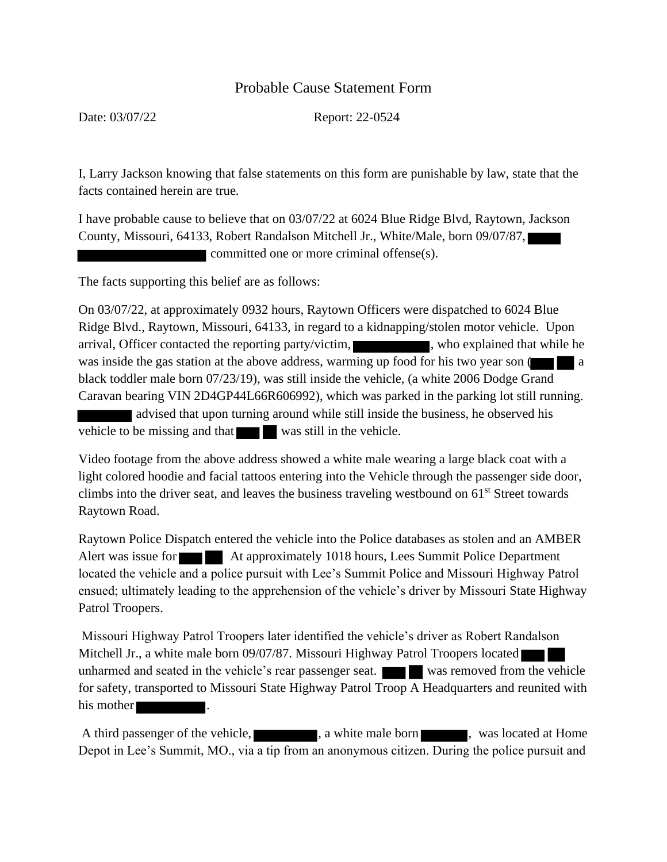# Probable Cause Statement Form

Date: 03/07/22 Report: 22-0524

I, Larry Jackson knowing that false statements on this form are punishable by law, state that the facts contained herein are true.

I have probable cause to believe that on 03/07/22 at 6024 Blue Ridge Blvd, Raytown, Jackson County, Missouri, 64133, Robert Randalson Mitchell Jr., White/Male, born 09/07/87, committed one or more criminal offense(s).

The facts supporting this belief are as follows:

On 03/07/22, at approximately 0932 hours, Raytown Officers were dispatched to 6024 Blue Ridge Blvd., Raytown, Missouri, 64133, in regard to a kidnapping/stolen motor vehicle. Upon arrival, Officer contacted the reporting party/victim, who explained that while he was inside the gas station at the above address, warming up food for his two year son  $\llbracket \cdot \rrbracket$ black toddler male born 07/23/19), was still inside the vehicle, (a white 2006 Dodge Grand Caravan bearing VIN 2D4GP44L66R606992), which was parked in the parking lot still running. advised that upon turning around while still inside the business, he observed his vehicle to be missing and that was still in the vehicle.

Video footage from the above address showed a white male wearing a large black coat with a light colored hoodie and facial tattoos entering into the Vehicle through the passenger side door, climbs into the driver seat, and leaves the business traveling westbound on  $61<sup>st</sup>$  Street towards Raytown Road.

Raytown Police Dispatch entered the vehicle into the Police databases as stolen and an AMBER Alert was issue for **At approximately 1018 hours, Lees Summit Police Department** located the vehicle and a police pursuit with Lee's Summit Police and Missouri Highway Patrol ensued; ultimately leading to the apprehension of the vehicle's driver by Missouri State Highway Patrol Troopers.

Missouri Highway Patrol Troopers later identified the vehicle's driver as Robert Randalson Mitchell Jr., a white male born 09/07/87. Missouri Highway Patrol Troopers located unharmed and seated in the vehicle's rear passenger seat.  $\blacksquare$  was removed from the vehicle for safety, transported to Missouri State Highway Patrol Troop A Headquarters and reunited with his mother

A third passenger of the vehicle,  $\Box$ , a white male born , was located at Home Depot in Lee's Summit, MO., via a tip from an anonymous citizen. During the police pursuit and